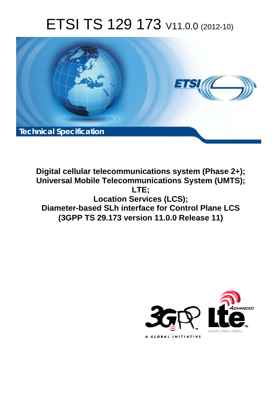# ETSI TS 129 173 V11.0.0 (2012-10)



**Digital cellular telecommunications system (Phase 2+); Universal Mobile Telecommunications System (UMTS); LTE; Location Services (LCS); Diameter-based SLh interface for Control Plane LCS (3GPP TS 29.173 version 11.0.0 Release 11)** 

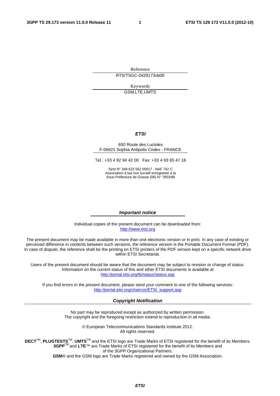Reference RTS/TSGC-0429173vb00

> Keywords GSM,LTE,UMTS

#### *ETSI*

#### 650 Route des Lucioles F-06921 Sophia Antipolis Cedex - FRANCE

Tel.: +33 4 92 94 42 00 Fax: +33 4 93 65 47 16

Siret N° 348 623 562 00017 - NAF 742 C Association à but non lucratif enregistrée à la Sous-Préfecture de Grasse (06) N° 7803/88

#### *Important notice*

Individual copies of the present document can be downloaded from: [http://www.etsi.org](http://www.etsi.org/)

The present document may be made available in more than one electronic version or in print. In any case of existing or perceived difference in contents between such versions, the reference version is the Portable Document Format (PDF). In case of dispute, the reference shall be the printing on ETSI printers of the PDF version kept on a specific network drive within ETSI Secretariat.

Users of the present document should be aware that the document may be subject to revision or change of status. Information on the current status of this and other ETSI documents is available at <http://portal.etsi.org/tb/status/status.asp>

If you find errors in the present document, please send your comment to one of the following services: [http://portal.etsi.org/chaircor/ETSI\\_support.asp](http://portal.etsi.org/chaircor/ETSI_support.asp)

#### *Copyright Notification*

No part may be reproduced except as authorized by written permission. The copyright and the foregoing restriction extend to reproduction in all media.

> © European Telecommunications Standards Institute 2012. All rights reserved.

DECT<sup>™</sup>, PLUGTESTS<sup>™</sup>, UMTS<sup>™</sup> and the ETSI logo are Trade Marks of ETSI registered for the benefit of its Members. **3GPP**TM and **LTE**™ are Trade Marks of ETSI registered for the benefit of its Members and of the 3GPP Organizational Partners.

**GSM**® and the GSM logo are Trade Marks registered and owned by the GSM Association.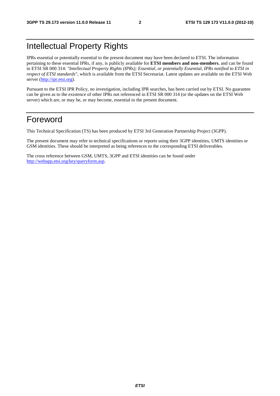# Intellectual Property Rights

IPRs essential or potentially essential to the present document may have been declared to ETSI. The information pertaining to these essential IPRs, if any, is publicly available for **ETSI members and non-members**, and can be found in ETSI SR 000 314: *"Intellectual Property Rights (IPRs); Essential, or potentially Essential, IPRs notified to ETSI in respect of ETSI standards"*, which is available from the ETSI Secretariat. Latest updates are available on the ETSI Web server ([http://ipr.etsi.org\)](http://webapp.etsi.org/IPR/home.asp).

Pursuant to the ETSI IPR Policy, no investigation, including IPR searches, has been carried out by ETSI. No guarantee can be given as to the existence of other IPRs not referenced in ETSI SR 000 314 (or the updates on the ETSI Web server) which are, or may be, or may become, essential to the present document.

### Foreword

This Technical Specification (TS) has been produced by ETSI 3rd Generation Partnership Project (3GPP).

The present document may refer to technical specifications or reports using their 3GPP identities, UMTS identities or GSM identities. These should be interpreted as being references to the corresponding ETSI deliverables.

The cross reference between GSM, UMTS, 3GPP and ETSI identities can be found under [http://webapp.etsi.org/key/queryform.asp.](http://webapp.etsi.org/key/queryform.asp)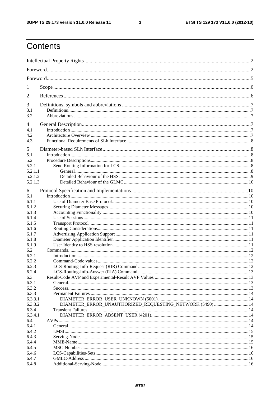$\mathbf{3}$ 

# Contents

| 1                |                                                           |  |  |  |  |  |
|------------------|-----------------------------------------------------------|--|--|--|--|--|
| 2                |                                                           |  |  |  |  |  |
| 3                |                                                           |  |  |  |  |  |
| 3.1              |                                                           |  |  |  |  |  |
| 3.2              |                                                           |  |  |  |  |  |
| 4                |                                                           |  |  |  |  |  |
| 4.1              |                                                           |  |  |  |  |  |
| 4.2              |                                                           |  |  |  |  |  |
| 4.3              |                                                           |  |  |  |  |  |
| 5                |                                                           |  |  |  |  |  |
| 5.1              |                                                           |  |  |  |  |  |
| 5.2              |                                                           |  |  |  |  |  |
| 5.2.1            |                                                           |  |  |  |  |  |
| 5.2.1.1          |                                                           |  |  |  |  |  |
| 5.2.1.2          |                                                           |  |  |  |  |  |
| 5.2.1.3          |                                                           |  |  |  |  |  |
| 6                |                                                           |  |  |  |  |  |
| 6.1              |                                                           |  |  |  |  |  |
| 6.1.1            |                                                           |  |  |  |  |  |
| 6.1.2            |                                                           |  |  |  |  |  |
| 6.1.3            |                                                           |  |  |  |  |  |
| 6.1.4            |                                                           |  |  |  |  |  |
| 6.1.5            |                                                           |  |  |  |  |  |
| 6.1.6            |                                                           |  |  |  |  |  |
| 6.1.7<br>6.1.8   |                                                           |  |  |  |  |  |
| 6.1.9            |                                                           |  |  |  |  |  |
| 6.2              |                                                           |  |  |  |  |  |
| 6.2.1            |                                                           |  |  |  |  |  |
| 6.2.2            |                                                           |  |  |  |  |  |
| 6.2.3            |                                                           |  |  |  |  |  |
| 6.2.4            |                                                           |  |  |  |  |  |
| 6.3              |                                                           |  |  |  |  |  |
| 6.3.1            |                                                           |  |  |  |  |  |
| 6.3.2            |                                                           |  |  |  |  |  |
| 6.3.3<br>6.3.3.1 |                                                           |  |  |  |  |  |
| 6.3.3.2          | DIAMETER_ERROR_UNAUTHORIZED_REQUESTING_NETWORK (5490)  14 |  |  |  |  |  |
| 6.3.4            |                                                           |  |  |  |  |  |
| 6.3.4.1          |                                                           |  |  |  |  |  |
| 6.4              |                                                           |  |  |  |  |  |
| 6.4.1            |                                                           |  |  |  |  |  |
| 6.4.2            |                                                           |  |  |  |  |  |
| 6.4.3            |                                                           |  |  |  |  |  |
| 6.4.4            |                                                           |  |  |  |  |  |
| 6.4.5            |                                                           |  |  |  |  |  |
| 6.4.6            |                                                           |  |  |  |  |  |
| 6.4.7            |                                                           |  |  |  |  |  |
| 6.4.8            |                                                           |  |  |  |  |  |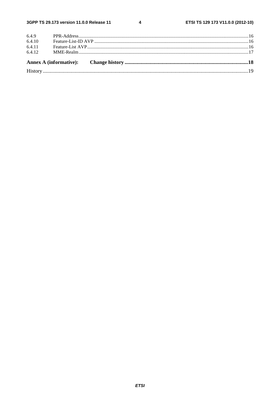$\overline{\mathbf{4}}$ 

| 6.4.11 |  |  |
|--------|--|--|
| 6.4.10 |  |  |
|        |  |  |
| 6.4.9  |  |  |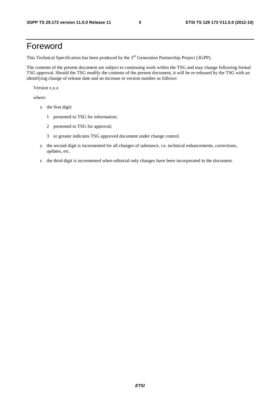## Foreword

This Technical Specification has been produced by the 3<sup>rd</sup> Generation Partnership Project (3GPP).

The contents of the present document are subject to continuing work within the TSG and may change following formal TSG approval. Should the TSG modify the contents of the present document, it will be re-released by the TSG with an identifying change of release date and an increase in version number as follows:

Version x.y.z

where:

- x the first digit:
	- 1 presented to TSG for information;
	- 2 presented to TSG for approval;
	- 3 or greater indicates TSG approved document under change control.
- y the second digit is incremented for all changes of substance, i.e. technical enhancements, corrections, updates, etc.
- z the third digit is incremented when editorial only changes have been incorporated in the document.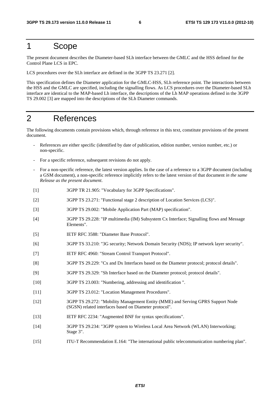### 1 Scope

The present document describes the Diameter-based SLh interface between the GMLC and the HSS defined for the Control Plane LCS in EPC.

LCS procedures over the SLh interface are defined in the 3GPP TS 23.271 [2].

This specification defines the Diameter application for the GMLC-HSS, SLh reference point. The interactions between the HSS and the GMLC are specified, including the signalling flows. As LCS procedures over the Diameter-based SLh interface are identical to the MAP-based Lh interface, the descriptions of the Lh MAP operations defined in the 3GPP TS 29.002 [3] are mapped into the descriptions of the SLh Diameter commands.

### 2 References

The following documents contain provisions which, through reference in this text, constitute provisions of the present document.

- References are either specific (identified by date of publication, edition number, version number, etc.) or non-specific.
- For a specific reference, subsequent revisions do not apply.
- For a non-specific reference, the latest version applies. In the case of a reference to a 3GPP document (including a GSM document), a non-specific reference implicitly refers to the latest version of that document *in the same Release as the present document*.
- [1] 3GPP TR 21.905: "Vocabulary for 3GPP Specifications".
- [2] 3GPP TS 23.271: "Functional stage 2 description of Location Services (LCS)".
- [3] 3GPP TS 29.002: "Mobile Application Part (MAP) specification".
- [4] 3GPP TS 29.228: "IP multimedia (IM) Subsystem Cx Interface; Signalling flows and Message Elements".
- [5] IETF RFC 3588: "Diameter Base Protocol".
- [6] 3GPP TS 33.210: "3G security; Network Domain Security (NDS); IP network layer security".
- [7] IETF RFC 4960: "Stream Control Transport Protocol".
- [8] 3GPP TS 29.229: "Cx and Dx Interfaces based on the Diameter protocol; protocol details".
- [9] 3GPP TS 29.329: "Sh Interface based on the Diameter protocol; protocol details".
- [10] 3GPP TS 23.003: "Numbering, addressing and identification ".
- [11] 3GPP TS 23.012: "Location Management Procedures".
- [12] 3GPP TS 29.272: "Mobility Management Entity (MME) and Serving GPRS Support Node (SGSN) related interfaces based on Diameter protocol".
- [13] IETF RFC 2234: "Augmented BNF for syntax specifications".
- [14] 3GPP TS 29.234: "3GPP system to Wireless Local Area Network (WLAN) Interworking; Stage 3".
- [15] ITU-T Recommendation E.164: "The international public telecommunication numbering plan".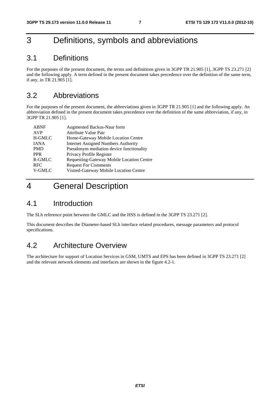# 3 Definitions, symbols and abbreviations

### 3.1 Definitions

For the purposes of the present document, the terms and definitions given in 3GPP TR 21.905 [1], 3GPP TS 23.271 [2] and the following apply. A term defined in the present document takes precedence over the definition of the same term, if any, in TR 21.905 [1].

### 3.2 Abbreviations

For the purposes of the present document, the abbreviations given in 3GPP TR 21.905 [1] and the following apply. An abbreviation defined in the present document takes precedence over the definition of the same abbreviation, if any, in 3GPP TR 21.905 [1].

| <b>ABNF</b>   | Augmented Backus-Naur form                 |
|---------------|--------------------------------------------|
| <b>AVP</b>    | <b>Attribute Value Pair</b>                |
| <b>H-GMLC</b> | Home-Gateway Mobile Location Centre        |
| <b>IANA</b>   | <b>Internet Assigned Numbers Authority</b> |
| <b>PMD</b>    | Pseudonym mediation device functionality   |
| <b>PPR</b>    | Privacy Profile Register                   |
| R-GMLC        | Requesting-Gateway Mobile Location Centre  |
| <b>RFC</b>    | <b>Request For Comments</b>                |
| V-GMLC        | Visited-Gateway Mobile Location Centre     |

# 4 General Description

### 4.1 Introduction

The SLh reference point between the GMLC and the HSS is defined in the 3GPP TS 23.271 [2].

This document describes the Diameter-based SLh interface related procedures, message parameters and protocol specifications.

### 4.2 Architecture Overview

The architecture for support of Location Services in GSM, UMTS and EPS has been defined in 3GPP TS 23.271 [2] and the relevant network elements and interfaces are shown in the figure 4.2-1.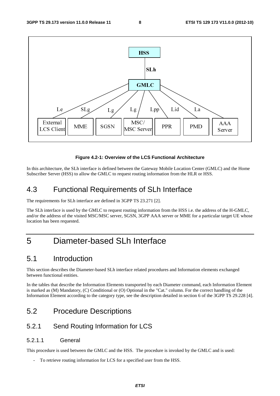

#### **Figure 4.2-1: Overview of the LCS Functional Architecture**

In this architecture, the SLh interface is defined between the Gateway Mobile Location Center (GMLC) and the Home Subscriber Server (HSS) to allow the GMLC to request routing information from the HLR or HSS.

### 4.3 Functional Requirements of SLh Interface

The requirements for SLh interface are defined in 3GPP TS 23.271 [2].

The SLh interface is used by the GMLC to request routing information from the HSS i.e. the address of the H-GMLC, and/or the address of the visited MSC/MSC server, SGSN, 3GPP AAA server or MME for a particular target UE whose location has been requested.

# 5 Diameter-based SLh Interface

### 5.1 Introduction

This section describes the Diameter-based SLh interface related procedures and Information elements exchanged between functional entities.

In the tables that describe the Information Elements transported by each Diameter command, each Information Element is marked as (M) Mandatory, (C) Conditional or (O) Optional in the "Cat." column. For the correct handling of the Information Element according to the category type, see the description detailed in section 6 of the 3GPP TS 29.228 [4].

### 5.2 Procedure Descriptions

#### 5.2.1 Send Routing Information for LCS

#### 5.2.1.1 General

This procedure is used between the GMLC and the HSS. The procedure is invoked by the GMLC and is used:

- To retrieve routing information for LCS for a specified user from the HSS.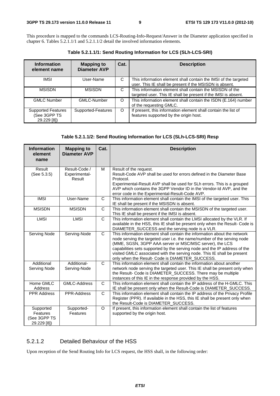This procedure is mapped to the commands LCS-Routing-Info-Request/Answer in the Diameter application specified in chapter 6. Tables 5.2.1.1/1 and 5.2.1.1/2 detail the involved information elements.

**Table 5.2.1.1/1: Send Routing Information for LCS (SLh-LCS-SRI)** 

| <b>Information</b><br>element name                       | <b>Mapping to</b><br><b>Diameter AVP</b> | Cat.    | <b>Description</b>                                                                                                         |
|----------------------------------------------------------|------------------------------------------|---------|----------------------------------------------------------------------------------------------------------------------------|
| <b>IMSI</b>                                              | User-Name                                | C       | This information element shall contain the IMSI of the targeted<br>user. This IE shall be present if the MSISDN is absent. |
| <b>MSISDN</b>                                            | <b>MSISDN</b>                            | C       | This information element shall contain the MSISDN of the<br>targeted user. This IE shall be present if the IMSI is absent. |
| <b>GMLC Number</b>                                       | <b>GMLC-Number</b>                       | $\circ$ | This information element shall contain the ISDN (E.164) number<br>of the requesting GMLC.                                  |
| <b>Supported Features</b><br>(See 3GPP TS<br>29.229 [8]) | Supported-Features                       | O       | If present, this information element shall contain the list of<br>features supported by the origin host.                   |

#### **Table 5.2.1.1/2: Send Routing Information for LCS (SLh-LCS-SRI) Resp**

| <b>Information</b><br>element<br>name                | <b>Mapping to</b><br><b>Diameter AVP</b> | Cat.         | <b>Description</b>                                                                                                                                                                                                                                                                                                                                                                                                        |
|------------------------------------------------------|------------------------------------------|--------------|---------------------------------------------------------------------------------------------------------------------------------------------------------------------------------------------------------------------------------------------------------------------------------------------------------------------------------------------------------------------------------------------------------------------------|
| Result<br>(See 5.3.5)                                | Result-Code /<br>Experimental-<br>Result | M            | Result of the request.<br>Result-Code AVP shall be used for errors defined in the Diameter Base<br>Protocol.<br>Experimental-Result AVP shall be used for SLh errors. This is a grouped<br>AVP which contains the 3GPP Vendor ID in the Vendor-Id AVP, and the<br>error code in the Experimental-Result-Code AVP.                                                                                                         |
| <b>IMSI</b>                                          | User-Name                                | C            | This information element shall contain the IMSI of the targeted user. This<br>IE shall be present if the MSISDN is absent.                                                                                                                                                                                                                                                                                                |
| <b>MSISDN</b>                                        | <b>MSISDN</b>                            | $\mathsf{C}$ | This information element shall contain the MSISDN of the targeted user.<br>This IE shall be present if the IMSI is absent.                                                                                                                                                                                                                                                                                                |
| <b>LMSI</b>                                          | <b>LMSI</b>                              | C            | This information element shall contain the LMSI allocated by the VLR. If<br>available in the HSS, this IE shall be present only when the Result- Code is<br>DIAMETER_SUCCESS and the serving node is a VLR.                                                                                                                                                                                                               |
| Serving Node                                         | Serving-Node                             | $\mathsf{C}$ | This information element shall contain the information about the network<br>node serving the targeted user i.e. the name/number of the serving node<br>(MME, SGSN, 3GPP AAA server or MSC/MSC server), the LCS<br>capabilities sets supported by the serving node and the IP address of the<br>visited GMLC associated with the serving node. This IE shall be present<br>only when the Result- Code is DIAMETER_SUCCESS. |
| Additional<br>Serving Node                           | Additional-<br>Serving-Node              | C            | This information element shall contain the information about another<br>network node serving the targeted user. This IE shall be present only when<br>the Result- Code is DIAMETER_SUCCESS. There may be multiple<br>instances of this IE in the response provided by the HSS.                                                                                                                                            |
| Home GMLC<br>Address                                 | <b>GMLC-Address</b>                      | $\mathsf{C}$ | This information element shall contain the IP address of the H-GMLC. This<br>IE shall be present only when the Result-Code is DIAMETER_SUCCESS.                                                                                                                                                                                                                                                                           |
| <b>PPR Address</b>                                   | PPR-Address                              | $\mathsf{C}$ | This information element shall contain the IP address of the Privacy Profile<br>Register (PPR). If available in the HSS, this IE shall be present only when<br>the Result-Code is DIAMETER_SUCCESS.                                                                                                                                                                                                                       |
| Supported<br>Features<br>(See 3GPP TS<br>29.229 [8]) | Supported-<br>Features                   | $\Omega$     | If present, this information element shall contain the list of features<br>supported by the origin host.                                                                                                                                                                                                                                                                                                                  |

#### 5.2.1.2 Detailed Behaviour of the HSS

Upon reception of the Send Routing Info for LCS request, the HSS shall, in the following order: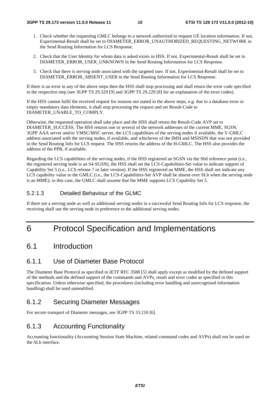- 1. Check whether the requesting GMLC belongs to a network authorized to request UE location information. If not, Experimental-Result shall be set to DIAMETER\_ERROR\_UNAUTHORIZED\_REQUESTING\_NETWORK in the Send Routing Information for LCS Response.
- 2. Check that the User Identity for whom data is asked exists in HSS. If not, Experimental-Result shall be set to DIAMETER\_ERROR\_USER\_UNKNOWN in the Send Routing Information for LCS Response.
- 3. Check that there is serving node associated with the targeted user. If not, Experimental-Result shall be set to DIAMETER\_ERROR\_ABSENT\_USER in the Send Routing Information for LCS Response.

If there is an error in any of the above steps then the HSS shall stop processing and shall return the error code specified in the respective step (see 3GPP TS 29.329 [9] and 3GPP TS 29.229 [8] for an explanation of the error codes).

If the HSS cannot fulfil the received request for reasons not stated in the above steps, e.g. due to a database error or empty mandatory data elements, it shall stop processing the request and set Result-Code to DIAMETER\_UNABLE\_TO\_COMPLY.

Otherwise, the requested operation shall take place and the HSS shall return the Result-Code AVP set to DIAMETER\_SUCCESS. The HSS returns one or several of the network addresses of the current MME, SGSN, 3GPP AAA server and/or VMSC/MSC server, the LCS capabilities of the serving nodes if available, the V-GMLC address associated with the serving nodes, if available, and whichever of the IMSI and MSISDN that was not provided in the Send Routing Info for LCS request. The HSS returns the address of the H-GMLC. The HSS also provides the address of the PPR, if available.

Regarding the LCS capabilities of the serving nodes, if the HSS registered an SGSN via the S6d reference point (i.e., the registered serving node is an S4-SGSN), the HSS shall set the LCS-Capabilities-Set value to indicate support of Capability Set 5 (i.e., LCS release 7 or later version). If the HSS registered an MME, the HSS shall not indicate any LCS capability value to the GMLC (i.e., the LCS-Capabilities-Set AVP shall be absent over SLh when the serving node is an MME); in this case, the GMLC shall assume that the MME supports LCS Capability Set 5.

#### 5.2.1.3 Detailed Behaviour of the GLMC

If there are a serving node as well as additional serving nodes in a successful Send Routing Info for LCS response, the receiving shall use the serving node in preference to the additional serving nodes.

# 6 Protocol Specification and Implementations

### 6.1 Introduction

### 6.1.1 Use of Diameter Base Protocol

The Diameter Base Protocol as specified in IETF RFC 3588 [5] shall apply except as modified by the defined support of the methods and the defined support of the commands and AVPs, result and error codes as specified in this specification. Unless otherwise specified, the procedures (including error handling and unrecognised information handling) shall be used unmodified.

### 6.1.2 Securing Diameter Messages

For secure transport of Diameter messages, see 3GPP TS 33.210 [6].

### 6.1.3 Accounting Functionality

Accounting functionality (Accounting Session State Machine, related command codes and AVPs) shall not be used on the SLh interface.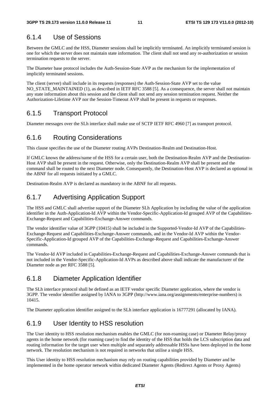### 6.1.4 Use of Sessions

Between the GMLC and the HSS, Diameter sessions shall be implicitly terminated. An implicitly terminated session is one for which the server does not maintain state information. The client shall not send any re-authorization or session termination requests to the server.

The Diameter base protocol includes the Auth-Session-State AVP as the mechanism for the implementation of implicitly terminated sessions.

The client (server) shall include in its requests (responses) the Auth-Session-State AVP set to the value NO\_STATE\_MAINTAINED (1), as described in IETF RFC 3588 [5]. As a consequence, the server shall not maintain any state information about this session and the client shall not send any session termination request. Neither the Authorization-Lifetime AVP nor the Session-Timeout AVP shall be present in requests or responses.

### 6.1.5 Transport Protocol

Diameter messages over the SLh interface shall make use of SCTP IETF RFC 4960 [7] as transport protocol.

### 6.1.6 Routing Considerations

This clause specifies the use of the Diameter routing AVPs Destination-Realm and Destination-Host.

If GMLC knows the address/name of the HSS for a certain user, both the Destination-Realm AVP and the Destination-Host AVP shall be present in the request. Otherwise, only the Destination-Realm AVP shall be present and the command shall be routed to the next Diameter node. Consequently, the Destination-Host AVP is declared as optional in the ABNF for all requests initiated by a GMLC.

Destination-Realm AVP is declared as mandatory in the ABNF for all requests.

### 6.1.7 Advertising Application Support

The HSS and GMLC shall advertise support of the Diameter SLh Application by including the value of the application identifier in the Auth-Application-Id AVP within the Vendor-Specific-Application-Id grouped AVP of the Capabilities-Exchange-Request and Capabilities-Exchange-Answer commands.

The vendor identifier value of 3GPP (10415) shall be included in the Supported-Vendor-Id AVP of the Capabilities-Exchange-Request and Capabilities-Exchange-Answer commands, and in the Vendor-Id AVP within the Vendor-Specific-Application-Id grouped AVP of the Capabilities-Exchange-Request and Capabilities-Exchange-Answer commands.

The Vendor-Id AVP included in Capabilities-Exchange-Request and Capabilities-Exchange-Answer commands that is not included in the Vendor-Specific-Application-Id AVPs as described above shall indicate the manufacturer of the Diameter node as per RFC 3588 [5].

### 6.1.8 Diameter Application Identifier

The SLh interface protocol shall be defined as an IETF vendor specific Diameter application, where the vendor is 3GPP. The vendor identifier assigned by IANA to 3GPP (http://www.iana.org/assignments/enterprise-numbers) is 10415.

The Diameter application identifier assigned to the SLh interface application is 16777291 (allocated by IANA).

### 6.1.9 User Identity to HSS resolution

The User identity to HSS resolution mechanism enables the GMLC (for non-roaming case) or Diameter Relay/proxy agents in the home network (for roaming case) to find the identity of the HSS that holds the LCS subscription data and routing information for the target user when multiple and separately addressable HSSs have been deployed in the home network. The resolution mechanism is not required in networks that utilise a single HSS.

This User identity to HSS resolution mechanism may rely on routing capabilities provided by Diameter and be implemented in the home operator network within dedicated Diameter Agents (Redirect Agents or Proxy Agents)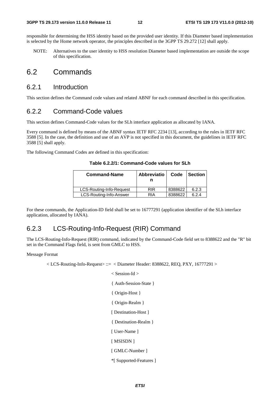responsible for determining the HSS identity based on the provided user identity. If this Diameter based implementation is selected by the Home network operator, the principles described in the 3GPP TS 29.272 [12] shall apply.

NOTE: Alternatives to the user identity to HSS resolution Diameter based implementation are outside the scope of this specification.

### 6.2 Commands

#### 6.2.1 Introduction

This section defines the Command code values and related ABNF for each command described in this specification.

### 6.2.2 Command-Code values

This section defines Command-Code values for the SLh interface application as allocated by IANA.

Every command is defined by means of the ABNF syntax IETF RFC 2234 [13], according to the rules in IETF RFC 3588 [5]. In the case, the definition and use of an AVP is not specified in this document, the guidelines in IETF RFC 3588 [5] shall apply.

The following Command Codes are defined in this specification:

| <b>Command-Name</b>      | <b>Abbreviatio</b> | Code    | <b>Section</b> |
|--------------------------|--------------------|---------|----------------|
| LCS-Routing-Info-Request | RIR                | 8388622 | 6.2.3          |
| LCS-Routing-Info-Answer  | RIA                | 8388622 | 6.2.4          |

**Table 6.2.2/1: Command-Code values for SLh** 

For these commands, the Application-ID field shall be set to 16777291 (application identifier of the SLh interface application, allocated by IANA).

### 6.2.3 LCS-Routing-Info-Request (RIR) Command

The LCS-Routing-Info-Request (RIR) command, indicated by the Command-Code field set to 8388622 and the "R" bit set in the Command Flags field, is sent from GMLC to HSS.

#### Message Format

 $\langle$  LCS-Routing-Info-Request $> ::=$   $\langle$  Diameter Header: 8388622, REQ, PXY, 16777291 $>$ 

< Session-Id > { Auth-Session-State } { Origin-Host } { Origin-Realm } [ Destination-Host ] { Destination-Realm } [ User-Name ] [ MSISDN ] [ GMLC-Number ] \*[ Supported-Features ]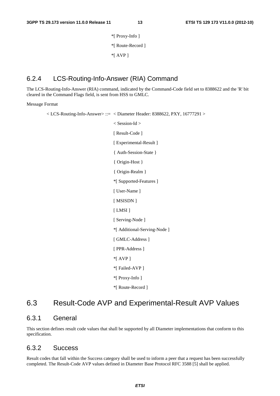\*[ Proxy-Info ] \*[ Route-Record ] \*[ AVP ]

#### 6.2.4 LCS-Routing-Info-Answer (RIA) Command

The LCS-Routing-Info-Answer (RIA) command, indicated by the Command-Code field set to 8388622 and the 'R' bit cleared in the Command Flags field, is sent from HSS to GMLC.

Message Format

 $\langle$  LCS-Routing-Info-Answer $\rangle$ ::=  $\langle$  Diameter Header: 8388622, PXY, 16777291 $\rangle$  < Session-Id > [ Result-Code ] [ Experimental-Result ] { Auth-Session-State } { Origin-Host } { Origin-Realm } \*[ Supported-Features ] [ User-Name ] [ MSISDN ] [ LMSI ] [ Serving-Node ] \*[ Additional-Serving-Node ] [ GMLC-Address ] [ PPR-Address ] \*[ AVP ] \*[ Failed-AVP ] \*[ Proxy-Info ] \*[ Route-Record ]

### 6.3 Result-Code AVP and Experimental-Result AVP Values

#### 6.3.1 General

This section defines result code values that shall be supported by all Diameter implementations that conform to this specification.

#### 6.3.2 Success

Result codes that fall within the Success category shall be used to inform a peer that a request has been successfully completed. The Result-Code AVP values defined in Diameter Base Protocol RFC 3588 [5] shall be applied.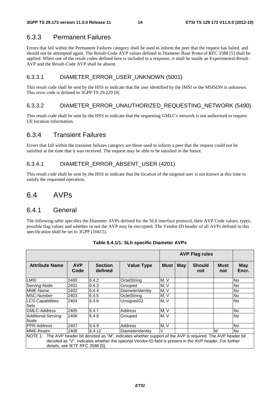### 6.3.3 Permanent Failures

Errors that fall within the Permanent Failures category shall be used to inform the peer that the request has failed, and should not be attempted again. The Result-Code AVP values defined in Diameter Base Protocol RFC 3588 [5] shall be applied. When one of the result codes defined here is included in a response, it shall be inside an Experimental-Result AVP and the Result-Code AVP shall be absent.

#### 6.3.3.1 DIAMETER\_ERROR\_USER\_UNKNOWN (5001)

This result code shall be sent by the HSS to indicate that the user identified by the IMSI or the MSISDN is unknown. This error code is defined in 3GPP TS 29.229 [8]

#### 6.3.3.2 DIAMETER\_ERROR\_UNAUTHORIZED\_REQUESTING\_NETWORK (5490)

This result code shall be sent by the HSS to indicate that the requesting GMLC's network is not authorized to request UE location information.

### 6.3.4 Transient Failures

Errors that fall within the transient failures category are those used to inform a peer that the request could not be satisfied at the time that it was received. The request may be able to be satisfied in the future.

#### 6.3.4.1 DIAMETER\_ERROR\_ABSENT\_USER (4201)

This result code shall be sent by the HSS to indicate that the location of the targeted user is not known at this time to satisfy the requested operation.

### 6.4 AVPs

#### 6.4.1 General

The following table specifies the Diameter AVPs defined for the SLh interface protocol, their AVP Code values, types, possible flag values and whether or not the AVP may be encrypted. The Vendor-ID header of all AVPs defined in this specification shall be set to 3GPP (10415).

|                                                                                                                                                                                                                                                                |                    |                           |                   |             |     | <b>AVP Flag rules</b> |             |                     |
|----------------------------------------------------------------------------------------------------------------------------------------------------------------------------------------------------------------------------------------------------------------|--------------------|---------------------------|-------------------|-------------|-----|-----------------------|-------------|---------------------|
| <b>Attribute Name</b>                                                                                                                                                                                                                                          | <b>AVP</b><br>Code | <b>Section</b><br>defined | <b>Value Type</b> | <b>Must</b> | May | <b>Should</b><br>not  | Must<br>not | <b>May</b><br>Encr. |
| <b>LMSI</b>                                                                                                                                                                                                                                                    | 2400               | 6.4.2                     | OctetString       | M, V        |     |                       |             | <b>No</b>           |
| Serving-Node                                                                                                                                                                                                                                                   | 2401               | 6.4.3                     | Grouped           | M, V        |     |                       |             | <b>No</b>           |
| IMME-Name                                                                                                                                                                                                                                                      | 2402               | 6.4.4                     | DiameterIdentity  | M, V        |     |                       |             | <b>No</b>           |
| IMSC-Number                                                                                                                                                                                                                                                    | 2403               | 6.4.5                     | OctetString       | M, V        |     |                       |             | <b>No</b>           |
| LCS-Capabilities-<br><b>Sets</b>                                                                                                                                                                                                                               | 2404               | 6.4.6                     | Unsigned32        | M, V        |     |                       |             | <b>No</b>           |
| <b>GMLC-Address</b>                                                                                                                                                                                                                                            | 2405               | 6.4.7                     | Address           | M, V        |     |                       |             | <b>No</b>           |
| Additional-Serving-<br>Node                                                                                                                                                                                                                                    | 2406               | 6.4.8                     | Grouped           | M, V        |     |                       |             | <b>No</b>           |
| IPPR-Address                                                                                                                                                                                                                                                   | 2407               | 6.4.9                     | Address           | M, V        |     |                       |             | <b>No</b>           |
| <b>MME-Realm</b>                                                                                                                                                                                                                                               | 2408               | 6.4.12                    | DiameterIdentity  | IV.         |     |                       | M           | <b>No</b>           |
| NOTE 1: The AVP header bit denoted as "M", indicates whether support of the AVP is required. The AVP header bit<br>denoted as "V", indicates whether the optional Vendor-ID field is present in the AVP header. For further<br>details, see IETF RFC 3588 [5]. |                    |                           |                   |             |     |                       |             |                     |

**Table 6.4.1/1: SLh specific Diameter AVPs**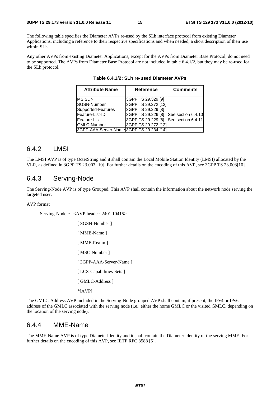The following table specifies the Diameter AVPs re-used by the SLh interface protocol from existing Diameter Applications, including a reference to their respective specifications and when needed, a short description of their use within SLh.

Any other AVPs from existing Diameter Applications, except for the AVPs from Diameter Base Protocol, do not need to be supported. The AVPs from Diameter Base Protocol are not included in table 6.4.1/2, but they may be re-used for the SLh protocol.

| <b>Attribute Name</b>                    | Reference           | <b>Comments</b>    |
|------------------------------------------|---------------------|--------------------|
| <b>MSISDN</b>                            | 3GPP TS 29.329 [9]  |                    |
| <b>SGSN-Number</b>                       | 3GPP TS 29.272 [12] |                    |
| Supported-Features                       | 3GPP TS 29.229 [8]  |                    |
| Feature-List-ID                          | 3GPP TS 29.229 [8]  | See section 6.4.10 |
| Feature-List                             | 3GPP TS 29.229 [8]  | See section 6.4.11 |
| <b>GMLC-Number</b>                       | 3GPP TS 29.272 [12] |                    |
| 3GPP-AAA-Server-Name 3GPP TS 29.234 [14] |                     |                    |

|  |  | Table 6.4.1/2: SLh re-used Diameter AVPs |
|--|--|------------------------------------------|
|--|--|------------------------------------------|

#### 6.4.2 LMSI

The LMSI AVP is of type OctetString and it shall contain the Local Mobile Station Identity (LMSI) allocated by the VLR, as defined in 3GPP TS 23.003 [10]. For further details on the encoding of this AVP, see 3GPP TS 23.003[10].

#### 6.4.3 Serving-Node

The Serving-Node AVP is of type Grouped. This AVP shall contain the information about the network node serving the targeted user.

AVP format

Serving-Node ::= <AVP header: 2401 10415>

[ SGSN-Number ] [ MME-Name ] [ MME-Realm ] [ MSC-Number ] [ 3GPP-AAA-Server-Name ] [ LCS-Capabilities-Sets ] [ GMLC-Address ] \*[AVP]

The GMLC-Address AVP included in the Serving-Node grouped AVP shall contain, if present, the IPv4 or IPv6 address of the GMLC associated with the serving node (i.e., either the home GMLC or the visited GMLC, depending on the location of the serving node).

#### 6.4.4 MME-Name

The MME-Name AVP is of type DiameterIdentity and it shall contain the Diameter identity of the serving MME. For further details on the encoding of this AVP, see IETF RFC 3588 [5].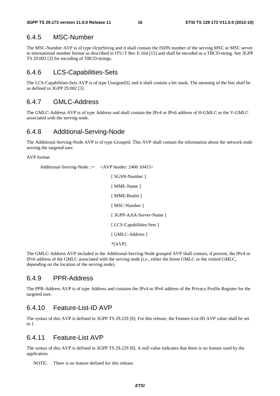#### 6.4.5 MSC-Number

The MSC-Number AVP is of type OctetString and it shall contain the ISDN number of the serving MSC or MSC server in international number format as described in ITU-T Rec E.164 [15] and shall be encoded as a TBCD-string. See 3GPP TS 29.002 [3] for encoding of TBCD-strings.

#### 6.4.6 LCS-Capabilities-Sets

The LCS-Capabilities-Sets AVP is of type Unsigned32 and it shall contain a bit mask. The meaning of the bits shall be as defined in 3GPP 29.002 [3].

### 6.4.7 GMLC-Address

The GMLC-Address AVP is of type Address and shall contain the IPv4 or IPv6 address of H-GMLC or the V-GMLC associated with the serving node.

#### 6.4.8 Additional-Serving-Node

The Additional-Serving-Node AVP is of type Grouped. This AVP shall contain the information about the network node serving the targeted user.

AVP format

Additional-Serving-Node ::= <AVP header: 2406 10415> [ SGSN-Number ] [ MME-Name ] [ MME-Realm ] [ MSC-Number ] [ 3GPP-AAA-Server-Name ] [ LCS-Capabilities-Sets ] [ GMLC-Address ] \*[AVP]

The GMLC-Address AVP included in the Additional-Serving-Node grouped AVP shall contain, if present, the IPv4 or IPv6 address of the GMLC associated with the serving node (i.e., either the home GMLC or the visited GMLC, depending on the location of the serving node).

#### 6.4.9 PPR-Address

The PPR-Address AVP is of type Address and contains the IPv4 or IPv6 address of the Privacy Profile Register for the targeted user.

### 6.4.10 Feature-List-ID AVP

The syntax of this AVP is defined in 3GPP TS 29.229 [8]. For this release, the Feature-List-ID AVP value shall be set to  $1$ .

#### 6.4.11 Feature-List AVP

The syntax of this AVP is defined in 3GPP TS 29.229 [8]. A null value indicates that there is no feature used by the application.

NOTE: There is no feature defined for this release.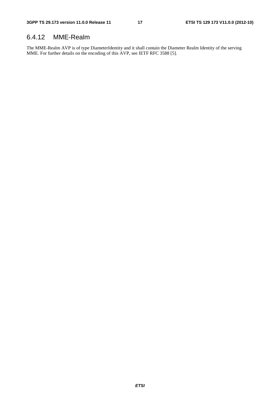### 6.4.12 MME-Realm

The MME-Realm AVP is of type DiameterIdentity and it shall contain the Diameter Realm Identity of the serving MME. For further details on the encoding of this AVP, see IETF RFC 3588 [5].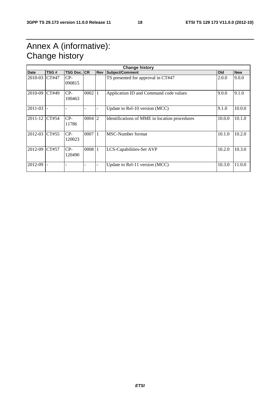# Annex A (informative): Change history

|               | <b>Change history</b> |                    |           |                          |                                               |            |            |  |  |
|---------------|-----------------------|--------------------|-----------|--------------------------|-----------------------------------------------|------------|------------|--|--|
| <b>Date</b>   | TSG#                  | <b>TSG Doc. CR</b> |           | <b>Rev</b>               | <b>Subject/Comment</b>                        | <b>Old</b> | <b>New</b> |  |  |
| 2010-03       | CT#47                 | $CP-$<br>090815    |           |                          | TS presented for approval in CT#47            | 2.0.0      | 9.0.0      |  |  |
| 2010-09 CT#49 |                       | $CP-$<br>100463    | $0002$  1 |                          | Application ID and Command code values        | 9.0.0      | 9.1.0      |  |  |
| 2011-03       |                       |                    |           | $\overline{\phantom{a}}$ | Update to Rel-10 version (MCC)                | 9.1.0      | 10.0.0     |  |  |
| 2011-12 CT#54 |                       | $CP-$<br>11786     | 0004      | 2                        | Identifications of MME in location procedures | 10.0.0     | 10.1.0     |  |  |
| 2012-03       | CT#55                 | $CP-$<br>120023    | 0007      | $\vert$ 1                | MSC-Number format                             | 10.1.0     | 10.2.0     |  |  |
| 2012-09       | CT#57                 | $CP-$<br>120490    | 0008 1    |                          | LCS-Capabilities-Set AVP                      | 10.2.0     | 10.3.0     |  |  |
| 2012-09       |                       |                    |           |                          | Update to Rel-11 version (MCC)                | 10.3.0     | 11.0.0     |  |  |